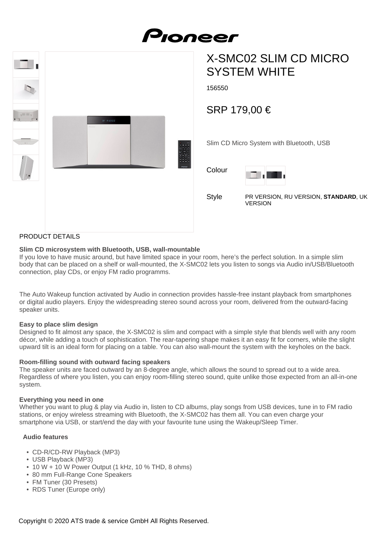



# X-SMC02 SLIM CD MICRO SYSTEM WHITE

156550

## SRP 179,00 €

Slim CD Micro System with Bluetooth, USB

Colour



**Style** 

PR VERSION, RU VERSION, **STANDARD**, UK **VERSION** 

## PRODUCT DETAILS

#### **Slim CD microsystem with Bluetooth, USB, wall-mountable**

If you love to have music around, but have limited space in your room, here's the perfect solution. In a simple slim body that can be placed on a shelf or wall-mounted, the X-SMC02 lets you listen to songs via Audio in/USB/Bluetooth connection, play CDs, or enjoy FM radio programms.

The Auto Wakeup function activated by Audio in connection provides hassle-free instant playback from smartphones or digital audio players. Enjoy the widespreading stereo sound across your room, delivered from the outward-facing speaker units.

#### **Easy to place slim design**

Designed to fit almost any space, the X-SMC02 is slim and compact with a simple style that blends well with any room décor, while adding a touch of sophistication. The rear-tapering shape makes it an easy fit for corners, while the slight upward tilt is an ideal form for placing on a table. You can also wall-mount the system with the keyholes on the back.

#### **Room-filling sound with outward facing speakers**

The speaker units are faced outward by an 8-degree angle, which allows the sound to spread out to a wide area. Regardless of where you listen, you can enjoy room-filling stereo sound, quite unlike those expected from an all-in-one system.

#### **Everything you need in one**

Whether you want to plug & play via Audio in, listen to CD albums, play songs from USB devices, tune in to FM radio stations, or enjoy wireless streaming with Bluetooth, the X-SMC02 has them all. You can even charge your smartphone via USB, or start/end the day with your favourite tune using the Wakeup/Sleep Timer.

## **Audio features**

- CD-R/CD-RW Playback (MP3)
- USB Playback (MP3)
- 10 W + 10 W Power Output (1 kHz, 10 % THD, 8 ohms)
- 80 mm Full-Range Cone Speakers
- FM Tuner (30 Presets)
- RDS Tuner (Europe only)